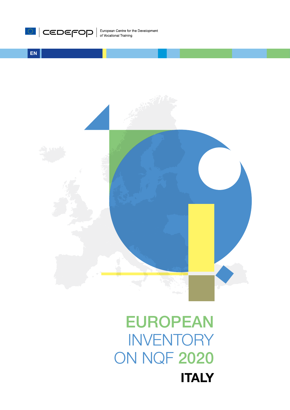# EUROPEAN **INVENTORY** ON NQF 2020 **ITALY**



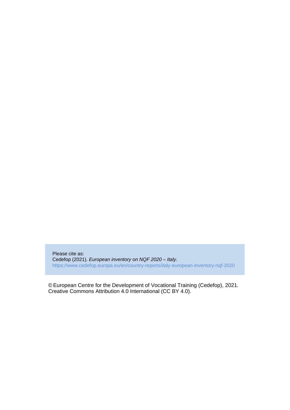Please cite as: Cedefop (2021). *European inventory on NQF 2020 – Italy*. <https://www.cedefop.europa.eu/en/country-reports/italy-european-inventory-nqf-2020>

© European Centre for the Development of Vocational Training (Cedefop), 2021. Creative Commons Attribution 4.0 International (CC BY 4.0).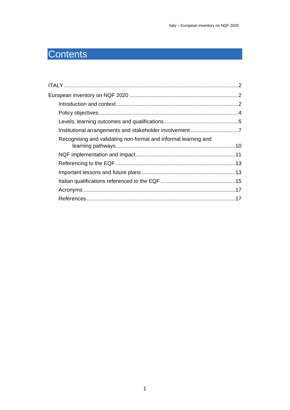## Contents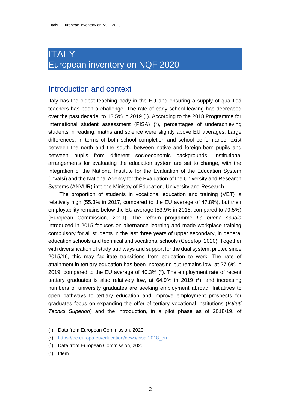## <span id="page-3-1"></span><span id="page-3-0"></span>**ITALY** European inventory on NQF 2020

#### <span id="page-3-2"></span>Introduction and context

Italy has the oldest teaching body in the EU and ensuring a supply of qualified teachers has been a challenge. The rate of early school leaving has decreased over the past decade, to 13.5% in 2019 (<sup>1</sup>). According to the 2018 Programme for international student assessment (PISA) ( 2 ), percentages of underachieving students in reading, maths and science were slightly above EU averages. Large differences, in terms of both school completion and school performance, exist between the north and the south, between native and foreign-born pupils and between pupils from different socioeconomic backgrounds. Institutional arrangements for evaluating the education system are set to change, with the integration of the National Institute for the Evaluation of the Education System (Invalsi) and the National Agency for the Evaluation of the University and Research Systems (ANVUR) into the Ministry of Education, University and Research.

The proportion of students in vocational education and training (VET) is relatively high (55.3% in 2017, compared to the EU average of 47.8%), but their employability remains below the EU average (53.9% in 2018, compared to 79.5%) (European Commission, 2019). The reform programme *La buona scuola* introduced in 2015 focuses on alternance learning and made workplace training compulsory for all students in the last three years of upper secondary, in general education schools and technical and vocational schools (Cedefop, 2020). Together with diversification of study pathways and support for the dual system, piloted since 2015/16, this may facilitate transitions from education to work. The rate of attainment in tertiary education has been increasing but remains low, at 27.6% in 2019, compared to the EU average of 40.3% ( 3 ). The employment rate of recent tertiary graduates is also relatively low, at 64.9% in 2019 ( 4 ), and increasing numbers of university graduates are seeking employment abroad. Initiatives to open pathways to tertiary education and improve employment prospects for graduates focus on expanding the offer of tertiary vocational institutions (*Istituti Tecnici Superiori*) and the introduction, in a pilot phase as of 2018/19, of

<sup>(</sup> 1 ) Data from European Commission, 2020.

<sup>(</sup> 2 ) [https://ec.europa.eu/education/news/pisa-2018\\_en](https://ec.europa.eu/education/news/pisa-2018_en)

<sup>(</sup> 3 ) Data from European Commission, 2020.

 $(4)$  Idem.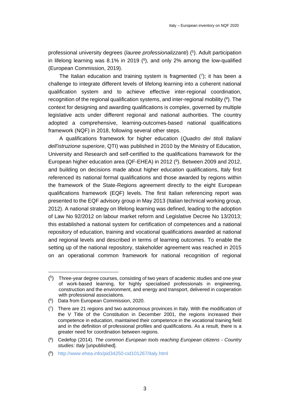professional university degrees (*lauree professionalizzanti*) ( 5 ). Adult participation in lifelong learning was 8.1% in 2019 (<sup>6</sup>), and only 2% among the low-qualified (European Commission, 2019).

The Italian education and training system is fragmented  $(7)$ ; it has been a challenge to integrate different levels of lifelong learning into a coherent national qualification system and to achieve effective inter-regional coordination, recognition of the regional qualification systems, and inter-regional mobility (8). The context for designing and awarding qualifications is complex, governed by multiple legislative acts under different regional and national authorities. The country adopted a comprehensive, learning-outcomes-based national qualifications framework (NQF) in 2018, following several other steps.

A qualifications framework for higher education (*Quadro dei titoli Italiani dell'istruzione superiore*, QTI) was published in 2010 by the Ministry of Education, University and Research and self-certified to the qualifications framework for the European higher education area (QF-EHEA) in 2012 ( 9 ). Between 2009 and 2012, and building on decisions made about higher education qualifications, Italy first referenced its national formal qualifications and those awarded by regions within the framework of the State-Regions agreement directly to the eight European qualifications framework (EQF) levels. The first Italian referencing report was presented to the EQF advisory group in May 2013 (Italian technical working group, 2012). A national strategy on lifelong learning was defined, leading to the adoption of Law No 92/2012 on labour market reform and Legislative Decree No 13/2013; this established a national system for certification of competences and a national repository of education, training and vocational qualifications awarded at national and regional levels and described in terms of learning outcomes. To enable the setting up of the national repository, stakeholder agreement was reached in 2015 on an operational common framework for national recognition of regional

 $(5)$  Three-year degree courses, consisting of two years of academic studies and one year of work-based learning, for highly specialised professionals in engineering, construction and the environment, and energy and transport, delivered in cooperation with professional associations.

<sup>(</sup> 6 ) Data from European Commission, 2020.

<sup>(</sup> 7 ) There are 21 regions and two autonomous provinces in Italy. With the modification of the V Title of the Constitution in December 2001, the regions increased their competence in education, maintained their competence in the vocational training field and in the definition of professional profiles and qualifications. As a result, there is a greater need for coordination between regions.

<sup>(</sup> 8 ) Cedefop (2014). *The common European tools reaching European citizens - Country studies: Italy* [unpublished].

<sup>(</sup> 9 ) <http://www.ehea.info/pid34250-cid101267/italy.html>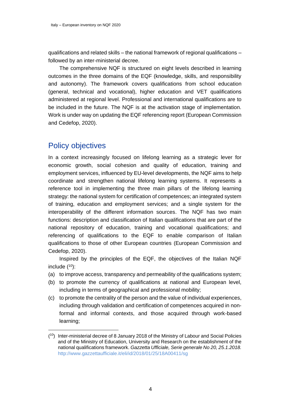qualifications and related skills – the national framework of regional qualifications – followed by an inter-ministerial decree.

The comprehensive NQF is structured on eight levels described in learning outcomes in the three domains of the EQF (knowledge, skills, and responsibility and autonomy). The framework covers qualifications from school education (general, technical and vocational), higher education and VET qualifications administered at regional level. Professional and international qualifications are to be included in the future. The NQF is at the activation stage of implementation. Work is under way on updating the EQF referencing report (European Commission and Cedefop, 2020).

#### <span id="page-5-0"></span>Policy objectives

In a context increasingly focused on lifelong learning as a strategic lever for economic growth, social cohesion and quality of education, training and employment services, influenced by EU-level developments, the NQF aims to help coordinate and strengthen national lifelong learning systems. It represents a reference tool in implementing the three main pillars of the lifelong learning strategy: the national system for certification of competences; an integrated system of training, education and employment services; and a single system for the interoperability of the different information sources. The NQF has two main functions: description and classification of Italian qualifications that are part of the national repository of education, training and vocational qualifications; and referencing of qualifications to the EQF to enable comparison of Italian qualifications to those of other European countries (European Commission and Cedefop, 2020).

Inspired by the principles of the EQF, the objectives of the Italian NQF include ( <sup>10</sup>):

- (a) to improve access, transparency and permeability of the qualifications system;
- (b) to promote the currency of qualifications at national and European level, including in terms of geographical and professional mobility;
- (c) to promote the centrality of the person and the value of individual experiences, including through validation and certification of competences acquired in nonformal and informal contexts, and those acquired through work-based learning;

<sup>(</sup> <sup>10</sup>) Inter-ministerial decree of 8 January 2018 of the Ministry of Labour and Social Policies and of the Ministry of Education, University and Research on the establishment of the national qualifications framework. *Gazzetta Ufficiale, Serie generale No 20, 25.1.2018.* <http://www.gazzettaufficiale.it/eli/id/2018/01/25/18A00411/sg>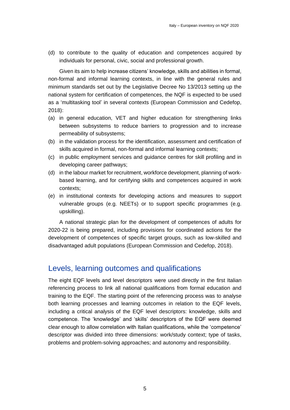(d) to contribute to the quality of education and competences acquired by individuals for personal, civic, social and professional growth.

Given its aim to help increase citizens' knowledge, skills and abilities in formal, non-formal and informal learning contexts, in line with the general rules and minimum standards set out by the Legislative Decree No 13/2013 setting up the national system for certification of competences, the NQF is expected to be used as a 'multitasking tool' in several contexts (European Commission and Cedefop, 2018):

- (a) in general education, VET and higher education for strengthening links between subsystems to reduce barriers to progression and to increase permeability of subsystems;
- (b) in the validation process for the identification, assessment and certification of skills acquired in formal, non-formal and informal learning contexts;
- (c) in public employment services and guidance centres for skill profiling and in developing career pathways;
- (d) in the labour market for recruitment, workforce development, planning of workbased learning, and for certifying skills and competences acquired in work contexts;
- (e) in institutional contexts for developing actions and measures to support vulnerable groups (e.g. NEETs) or to support specific programmes (e.g. upskilling).

A national strategic plan for the development of competences of adults for 2020-22 is being prepared, including provisions for coordinated actions for the development of competences of specific target groups, such as low-skilled and disadvantaged adult populations (European Commission and Cedefop, 2018).

#### <span id="page-6-0"></span>Levels, learning outcomes and qualifications

The eight EQF levels and level descriptors were used directly in the first Italian referencing process to link all national qualifications from formal education and training to the EQF. The starting point of the referencing process was to analyse both learning processes and learning outcomes in relation to the EQF levels, including a critical analysis of the EQF level descriptors: knowledge, skills and competence. The 'knowledge' and 'skills' descriptors of the EQF were deemed clear enough to allow correlation with Italian qualifications, while the 'competence' descriptor was divided into three dimensions: work/study context; type of tasks, problems and problem-solving approaches; and autonomy and responsibility.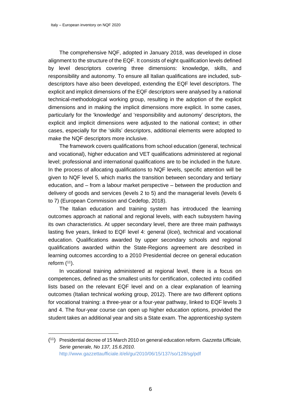The comprehensive NQF, adopted in January 2018, was developed in close alignment to the structure of the EQF. It consists of eight qualification levels defined by level descriptors covering three dimensions: knowledge, skills, and responsibility and autonomy. To ensure all Italian qualifications are included, subdescriptors have also been developed, extending the EQF level descriptors. The explicit and implicit dimensions of the EQF descriptors were analysed by a national technical-methodological working group, resulting in the adoption of the explicit dimensions and in making the implicit dimensions more explicit. In some cases, particularly for the 'knowledge' and 'responsibility and autonomy' descriptors, the explicit and implicit dimensions were adjusted to the national context; in other cases, especially for the 'skills' descriptors, additional elements were adopted to make the NQF descriptors more inclusive.

The framework covers qualifications from school education (general, technical and vocational), higher education and VET qualifications administered at regional level; professional and international qualifications are to be included in the future. In the process of allocating qualifications to NQF levels, specific attention will be given to NQF level 5, which marks the transition between secondary and tertiary education, and – from a labour market perspective – between the production and delivery of goods and services (levels 2 to 5) and the managerial levels (levels 6 to 7) (European Commission and Cedefop, 2018).

The Italian education and training system has introduced the learning outcomes approach at national and regional levels, with each subsystem having its own characteristics. At upper secondary level, there are three main pathways lasting five years, linked to EQF level 4: general (*licei*), technical and vocational education. Qualifications awarded by upper secondary schools and regional qualifications awarded within the State-Regions agreement are described in learning outcomes according to a 2010 Presidential decree on general education reform  $(11)$ .

In vocational training administered at regional level, there is a focus on competences, defined as the smallest units for certification, collected into codified lists based on the relevant EQF level and on a clear explanation of learning outcomes (Italian technical working group, 2012). There are two different options for vocational training: a three-year or a four-year pathway, linked to EQF levels 3 and 4. The four-year course can open up higher education options, provided the student takes an additional year and sits a State exam. The apprenticeship system

<sup>(</sup> <sup>11</sup>) Presidential decree of 15 March 2010 on general education reform. *Gazzetta Ufficiale, Serie generale, No 137, 15.6.2010.* <http://www.gazzettaufficiale.it/eli/gu/2010/06/15/137/so/128/sg/pdf>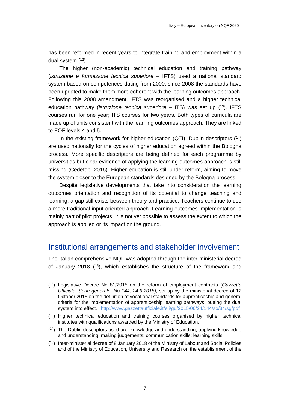has been reformed in recent years to integrate training and employment within a dual system  $(12)$ .

The higher (non-academic) technical education and training pathway (*istruzione e formazione tecnica superiore –* IFTS) used a national standard system based on competences dating from 2000; since 2008 the standards have been updated to make them more coherent with the learning outcomes approach. Following this 2008 amendment, IFTS was reorganised and a higher technical education pathway (*istruzione tecnica superiore –* ITS) was set up ( <sup>13</sup>). IFTS courses run for one year; ITS courses for two years. Both types of curricula are made up of units consistent with the learning outcomes approach. They are linked to EQF levels 4 and 5.

In the existing framework for higher education (QTI), Dublin descriptors  $(14)$ are used nationally for the cycles of higher education agreed within the Bologna process. More specific descriptors are being defined for each programme by universities but clear evidence of applying the learning outcomes approach is still missing (Cedefop, 2016). Higher education is still under reform, aiming to move the system closer to the European standards designed by the Bologna process.

Despite legislative developments that take into consideration the learning outcomes orientation and recognition of its potential to change teaching and learning, a gap still exists between theory and practice. Teachers continue to use a more traditional input-oriented approach. Learning outcomes implementation is mainly part of pilot projects. It is not yet possible to assess the extent to which the approach is applied or its impact on the ground.

#### <span id="page-8-0"></span>Institutional arrangements and stakeholder involvement

The Italian comprehensive NQF was adopted through the inter-ministerial decree of January 2018 ( $15$ ), which establishes the structure of the framework and

<sup>(</sup> <sup>12</sup>) Legislative Decree No 81/2015 on the reform of employment contracts (*Gazzetta Ufficiale, Serie generale, No 144, 24.6.2015),* set up by the ministerial decree of 12 October 2015 on the definition of vocational standards for apprenticeship and general criteria for the implementation of apprenticeship learning pathways, putting the dual system into effect*.* <http://www.gazzettaufficiale.it/eli/gu/2015/06/24/144/so/34/sg/pdf>

<sup>(</sup> <sup>13</sup>) Higher technical education and training courses organised by higher technical institutes with qualifications awarded by the Ministry of Education.

<sup>(</sup> <sup>14</sup>) The Dublin descriptors used are: knowledge and understanding; applying knowledge and understanding; making judgements; communication skills; learning skills.

<sup>(</sup> <sup>15</sup>) Inter-ministerial decree of 8 January 2018 of the Ministry of Labour and Social Policies and of the Ministry of Education, University and Research on the establishment of the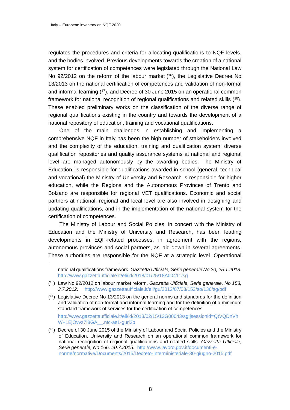regulates the procedures and criteria for allocating qualifications to NQF levels, and the bodies involved. Previous developments towards the creation of a national system for certification of competences were legislated through the National Law No 92/2012 on the reform of the labour market ( <sup>16</sup>), the Legislative Decree No 13/2013 on the national certification of competences and validation of non-formal and informal learning ( <sup>17</sup>), and Decree of 30 June 2015 on an operational common framework for national recognition of regional qualifications and related skills (<sup>18</sup>). These enabled preliminary works on the classification of the diverse range of regional qualifications existing in the country and towards the development of a national repository of education, training and vocational qualifications.

One of the main challenges in establishing and implementing a comprehensive NQF in Italy has been the high number of stakeholders involved and the complexity of the education, training and qualification system; diverse qualification repositories and quality assurance systems at national and regional level are managed autonomously by the awarding bodies. The Ministry of Education, is responsible for qualifications awarded in school (general, technical and vocational) the Ministry of University and Research is responsible for higher education, while the Regions and the Autonomous Provinces of Trento and Bolzano are responsible for regional VET qualifications. Economic and social partners at national, regional and local level are also involved in designing and updating qualifications, and in the implementation of the national system for the certification of competences.

The Ministry of Labour and Social Policies, in concert with the Ministry of Education and the Ministry of University and Research, has been leading developments in EQF-related processes, in agreement with the regions, autonomous provinces and social partners, as laid down in several agreements. These authorities are responsible for the NQF at a strategic level. Operational

[http://www.gazzettaufficiale.it/eli/id/2013/02/15/13G00043/sg;jsessionid=QtVQDnVh](http://www.gazzettaufficiale.it/eli/id/2013/02/15/13G00043/sg;jsessionid=QtVQDnVhW+1EjOvvz7I8GA__.ntc-as1-guri2b) [W+1EjOvvz7I8GA\\_\\_.ntc-as1-guri2b](http://www.gazzettaufficiale.it/eli/id/2013/02/15/13G00043/sg;jsessionid=QtVQDnVhW+1EjOvvz7I8GA__.ntc-as1-guri2b)

national qualifications framework. *Gazzetta Ufficiale, Serie generale No 20, 25.1.2018.*  <http://www.gazzettaufficiale.it/eli/id/2018/01/25/18A00411/sg>

<sup>(</sup> <sup>16</sup>) Law No 92/2012 on labour market reform. *Gazzetta Ufficiale, Serie generale, No 153, 3.7.2012.* <http://www.gazzettaufficiale.it/eli/gu/2012/07/03/153/so/136/sg/pdf>

<sup>(</sup> <sup>17</sup>) Legislative Decree No 13/2013 on the general norms and standards for the definition and validation of non-formal and informal learning and for the definition of a minimum standard framework of services for the certification of competences

 $(18)$  Decree of 30 June 2015 of the Ministry of Labour and Social Policies and the Ministry of Education, University and Research on an operational common framework for national recognition of regional qualifications and related skills. *Gazzetta Ufficiale, Serie generale, No 166, 20.7.2015*. [http://www.lavoro.gov.it/documenti-e](http://www.lavoro.gov.it/documenti-e-norme/normative/Documents/2015/Decreto-Interministeriale-30-giugno-2015.pdf)[norme/normative/Documents/2015/Decreto-Interministeriale-30-giugno-2015.pdf](http://www.lavoro.gov.it/documenti-e-norme/normative/Documents/2015/Decreto-Interministeriale-30-giugno-2015.pdf)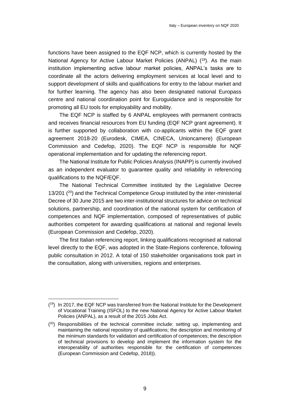functions have been assigned to the EQF NCP, which is currently hosted by the National Agency for Active Labour Market Policies (ANPAL) (<sup>19</sup>). As the main institution implementing active labour market policies, ANPAL's tasks are to coordinate all the actors delivering employment services at local level and to support development of skills and qualifications for entry to the labour market and for further learning. The agency has also been designated national Europass centre and national coordination point for Euroguidance and is responsible for promoting all EU tools for employability and mobility.

The EQF NCP is staffed by 6 ANPAL employees with permanent contracts and receives financial resources from EU funding (EQF NCP grant agreement). It is further supported by collaboration with co-applicants within the EQF grant agreement 2018-20 (Eurodesk, CIMEA, CINECA, Unioncamere) (European Commission and Cedefop, 2020). The EQF NCP is responsible for NQF operational implementation and for updating the referencing report.

The National Institute for Public Policies Analysis (INAPP) is currently involved as an independent evaluator to guarantee quality and reliability in referencing qualifications to the NQF/EQF.

The National Technical Committee instituted by the Legislative Decree 13/201 ( <sup>20</sup>) and the Technical Competence Group instituted by the inter-ministerial Decree of 30 June 2015 are two inter-institutional structures for advice on technical solutions, partnership, and coordination of the national system for certification of competences and NQF implementation, composed of representatives of public authorities competent for awarding qualifications at national and regional levels (European Commission and Cedefop, 2020).

The first Italian referencing report, linking qualifications recognised at national level directly to the EQF, was adopted in the State-Regions conference, following public consultation in 2012. A total of 150 stakeholder organisations took part in the consultation, along with universities, regions and enterprises.

<sup>(&</sup>lt;sup>19</sup>) In 2017, the EQF NCP was transferred from the National Institute for the Development of Vocational Training (ISFOL) to the new National Agency for Active Labour Market Policies (ANPAL), as a result of the 2015 Jobs Act.

 $(2^{\circ})$  Responsibilities of the technical committee include: setting up, implementing and maintaining the national repository of qualifications; the description and monitoring of the minimum standards for validation and certification of competences; the description of technical provisions to develop and implement the information system for the interoperability of authorities responsible for the certification of competences (European Commission and Cedefop, 2018)).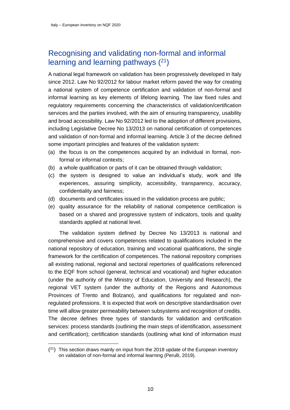### <span id="page-11-0"></span>Recognising and validating non-formal and informal learning and learning pathways  $(21)$

A national legal framework on validation has been progressively developed in Italy since 2012. Law No 92/2012 for labour market reform paved the way for creating a national system of competence certification and validation of non-formal and informal learning as key elements of lifelong learning. The law fixed rules and regulatory requirements concerning the characteristics of validation/certification services and the parties involved, with the aim of ensuring transparency, usability and broad accessibility. Law No 92/2012 led to the adoption of different provisions, including Legislative Decree No 13/2013 on national certification of competences and validation of non-formal and informal learning. Article 3 of the decree defined some important principles and features of the validation system:

- (a) the focus is on the competences acquired by an individual in formal, nonformal or informal contexts;
- (b) a whole qualification or parts of it can be obtained through validation;
- (c) the system is designed to value an individual's study, work and life experiences, assuring simplicity, accessibility, transparency, accuracy, confidentiality and fairness;
- (d) documents and certificates issued in the validation process are public;
- (e) quality assurance for the reliability of national competence certification is based on a shared and progressive system of indicators, tools and quality standards applied at national level.

The validation system defined by Decree No 13/2013 is national and comprehensive and covers competences related to qualifications included in the national repository of education, training and vocational qualifications, the single framework for the certification of competences. The national repository comprises all existing national, regional and sectoral repertories of qualifications referenced to the EQF from school (general, technical and vocational) and higher education (under the authority of the Ministry of Education, University and Research), the regional VET system (under the authority of the Regions and Autonomous Provinces of Trento and Bolzano), and qualifications for regulated and nonregulated professions. It is expected that work on descriptive standardisation over time will allow greater permeability between subsystems and recognition of credits. The decree defines three types of standards for validation and certification services: process standards (outlining the main steps of identification, assessment and certification); certification standards (outlining what kind of information must

 $(2<sup>1</sup>)$  This section draws mainly on input from the 2018 update of the European inventory on validation of non-formal and informal learning (Perulli, 2019).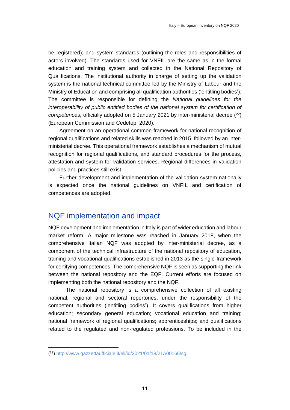be registered); and system standards (outlining the roles and responsibilities of actors involved). The standards used for VNFIL are the same as in the formal education and training system and collected in the National Repository of Qualifications. The institutional authority in charge of setting up the validation system is the national technical committee led by the Ministry of Labour and the Ministry of Education and comprising all qualification authorities ('entitling bodies'). The committee is responsible for defining the *National guidelines for the interoperability of public entitled bodies of the national system for certification of competences;* officially adopted on 5 January 2021 by inter-ministerial decree (<sup>22</sup>) (European Commission and Cedefop, 2020).

Agreement on an operational common framework for national recognition of regional qualifications and related skills was reached in 2015, followed by an interministerial decree. This operational framework establishes a mechanism of mutual recognition for regional qualifications, and standard procedures for the process, attestation and system for validation services. Regional differences in validation policies and practices still exist.

Further development and implementation of the validation system nationally is expected once the national guidelines on VNFIL and certification of competences are adopted.

#### <span id="page-12-0"></span>NQF implementation and impact

NQF development and implementation in Italy is part of wider education and labour market reform. A major milestone was reached in January 2018, when the comprehensive Italian NQF was adopted by inter-ministerial decree, as a component of the technical infrastructure of the national repository of education, training and vocational qualifications established in 2013 as the single framework for certifying competences. The comprehensive NQF is seen as supporting the link between the national repository and the EQF. Current efforts are focused on implementing both the national repository and the NQF.

The national repository is a comprehensive collection of all existing national, regional and sectoral repertories, under the responsibility of the competent authorities ('entitling bodies'). It covers qualifications from higher education; secondary general education; vocational education and training; national framework of regional qualifications; apprenticeships; and qualifications related to the regulated and non-regulated professions. To be included in the

<sup>(</sup> 22)<http://www.gazzettaufficiale.it/eli/id/2021/01/18/21A00166/sg>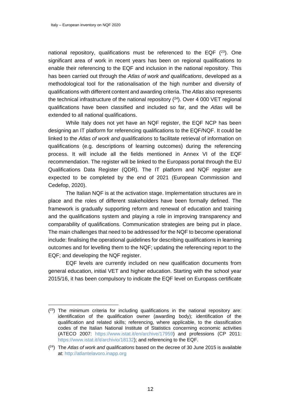national repository, qualifications must be referenced to the EQF  $(23)$ . One significant area of work in recent years has been on regional qualifications to enable their referencing to the EQF and inclusion in the national repository. This has been carried out through the *Atlas of work and qualifications*, developed as a methodological tool for the rationalisation of the high number and diversity of qualifications with different content and awarding criteria. The *Atlas* also represents the technical infrastructure of the national repository  $(24)$ . Over 4 000 VET regional qualifications have been classified and included so far, and the *Atlas* will be extended to all national qualifications.

While Italy does not yet have an NQF register, the EQF NCP has been designing an IT platform for referencing qualifications to the EQF/NQF. It could be linked to the *Atlas of work and qualifications* to facilitate retrieval of information on qualifications (e.g. descriptions of learning outcomes) during the referencing process. It will include all the fields mentioned in Annex VI of the EQF recommendation. The register will be linked to the Europass portal through the EU Qualifications Data Register (QDR). The IT platform and NQF register are expected to be completed by the end of 2021 (European Commission and Cedefop, 2020).

The Italian NQF is at the activation stage. Implementation structures are in place and the roles of different stakeholders have been formally defined. The framework is gradually supporting reform and renewal of education and training and the qualifications system and playing a role in improving transparency and comparability of qualifications. Communication strategies are being put in place. The main challenges that need to be addressed for the NQF to become operational include: finalising the operational guidelines for describing qualifications in learning outcomes and for levelling them to the NQF; updating the referencing report to the EQF; and developing the NQF register.

EQF levels are currently included on new qualification documents from general education, initial VET and higher education. Starting with the school year 2015/16, it has been compulsory to indicate the EQF level on Europass certificate

 $(2<sup>3</sup>)$  The minimum criteria for including qualifications in the national repository are: identification of the qualification owner (awarding body); identification of the qualification and related skills; referencing, where applicable, to the classification codes of the Italian National Institute of Statistics concerning economic activities (ATECO 2007: [https://www.istat.it/en/archive/17959\)](https://www.istat.it/en/archive/17959) and professions (CP 2011: [https://www.istat.it/it/archivio/18132\)](https://www.istat.it/it/archivio/18132); and referencing to the EQF.

<sup>(</sup> <sup>24</sup>) The *Atlas of work and qualifications* based on the decree of 30 June 2015 is available at: [http://atlantelavoro.inapp.org](http://atlantelavoro.inapp.org/)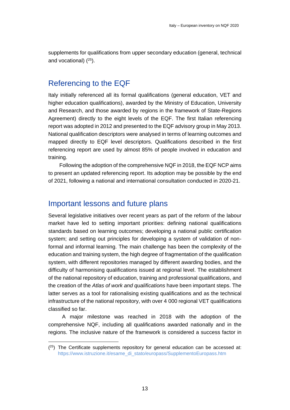<span id="page-14-0"></span>supplements for qualifications from upper secondary education (general, technical and vocational)  $(25)$ .

#### Referencing to the EQF

Italy initially referenced all its formal qualifications (general education, VET and higher education qualifications), awarded by the Ministry of Education, University and Research, and those awarded by regions in the framework of State-Regions Agreement) directly to the eight levels of the EQF. The first Italian referencing report was adopted in 2012 and presented to the EQF advisory group in May 2013. National qualification descriptors were analysed in terms of learning outcomes and mapped directly to EQF level descriptors. Qualifications described in the first referencing report are used by almost 85% of people involved in education and training.

Following the adoption of the comprehensive NQF in 2018, the EQF NCP aims to present an updated referencing report. Its adoption may be possible by the end of 2021, following a national and international consultation conducted in 2020-21.

#### <span id="page-14-1"></span>Important lessons and future plans

Several legislative initiatives over recent years as part of the reform of the labour market have led to setting important priorities: defining national qualifications standards based on learning outcomes; developing a national public certification system; and setting out principles for developing a system of validation of nonformal and informal learning. The main challenge has been the complexity of the education and training system, the high degree of fragmentation of the qualification system, with different repositories managed by different awarding bodies, and the difficulty of harmonising qualifications issued at regional level. The establishment of the national repository of education, training and professional qualifications, and the creation of the *Atlas of work and qualifications* have been important steps. The latter serves as a tool for rationalising existing qualifications and as the technical infrastructure of the national repository, with over 4 000 regional VET qualifications classified so far.

A major milestone was reached in 2018 with the adoption of the comprehensive NQF, including all qualifications awarded nationally and in the regions. The inclusive nature of the framework is considered a success factor in

 $(25)$  The Certificate supplements repository for general education can be accessed at: [https://www.istruzione.it/esame\\_di\\_stato/europass/SupplementoEuropass.htm](https://www.istruzione.it/esame_di_stato/europass/SupplementoEuropass.htm)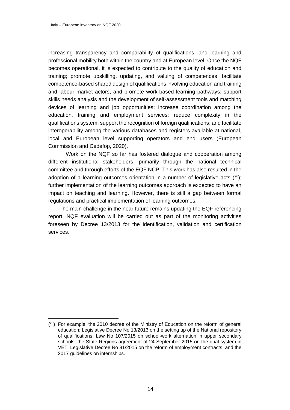increasing transparency and comparability of qualifications, and learning and professional mobility both within the country and at European level. Once the NQF becomes operational, it is expected to contribute to the quality of education and training; promote upskilling, updating, and valuing of competences; facilitate competence-based shared design of qualifications involving education and training and labour market actors, and promote work-based learning pathways; support skills needs analysis and the development of self-assessment tools and matching devices of learning and job opportunities; increase coordination among the education, training and employment services; reduce complexity in the qualifications system; support the recognition of foreign qualifications; and facilitate interoperability among the various databases and registers available at national, local and European level supporting operators and end users (European Commission and Cedefop, 2020).

Work on the NQF so far has fostered dialogue and cooperation among different institutional stakeholders, primarily through the national technical committee and through efforts of the EQF NCP. This work has also resulted in the adoption of a learning outcomes orientation in a number of legislative acts  $(^{26})$ ; further implementation of the learning outcomes approach is expected to have an impact on teaching and learning. However, there is still a gap between formal regulations and practical implementation of learning outcomes.

The main challenge in the near future remains updating the EQF referencing report. NQF evaluation will be carried out as part of the monitoring activities foreseen by Decree 13/2013 for the identification, validation and certification services.

 $(26)$  For example: the 2010 decree of the Ministry of Education on the reform of general education; Legislative Decree No 13/2013 on the setting up of the National repository of qualifications; Law No 107/2015 on school-work alternation in upper secondary schools; the State-Regions agreement of 24 September 2015 on the dual system in VET; Legislative Decree No 81/2015 on the reform of employment contracts; and the 2017 guidelines on internships.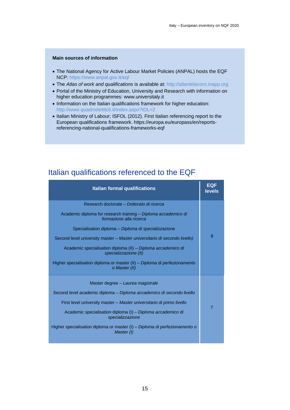#### **Main sources of information**

- The National Agency for Active Labour Market Policies (ANPAL) hosts the EQF NCP: https://www.anpal.gov.it/eqf
- The *Atlas of work and qualifications* is available at: [http://atlantelavoro.inapp.org](http://atlantelavoro.inapp.org/)
- Portal of the Ministry of Education, University and Research with information on higher education programmes: www.universitaly.it
- Information on the Italian qualifications framework for higher education: <http://www.quadrodeititoli.it/index.aspx?IDL=2>
- Italian Ministry of Labour; ISFOL (2012). First Italian referencing report to the European qualifications framework. https://europa.eu/europass/en/reportsreferencing-national-qualifications-frameworks-eqf

#### <span id="page-16-0"></span>Italian qualifications referenced to the EQF

| <b>Italian formal qualifications</b>                                                                                                                                                                                                                                                                                                                                                                                                                               | <b>EQF</b><br>levels |
|--------------------------------------------------------------------------------------------------------------------------------------------------------------------------------------------------------------------------------------------------------------------------------------------------------------------------------------------------------------------------------------------------------------------------------------------------------------------|----------------------|
| Research doctorate - Dottorato di ricerca<br>Academic diploma for research training – Diploma accademico di<br>formazione alla ricerca<br>Specialisation diploma – Diploma di specializzazione<br>Second level university master – Master universitario di secondo livello)<br>Academic specialisation diploma (II) - Diploma accademico di<br>specializzazione (II)<br>Higher specialisation diploma or master (II) – Diploma di perfezionamento<br>o Master (II) | 8                    |
| Master degree - Laurea magistrale<br>Second level academic diploma – Diploma accademico di secondo livello<br>First level university master – Master universitario di primo livello<br>Academic specialisation diploma (I) - Diploma accademico di<br>specializzazione<br>Higher specialisation diploma or master $(I)$ – Diploma di perfezionamento o<br>Master (I)                                                                                               | 7                    |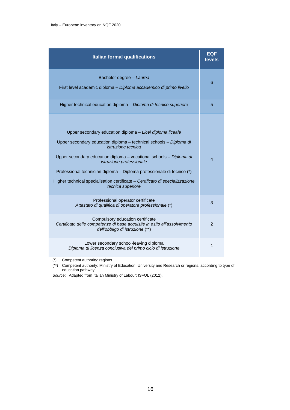| <b>Italian formal qualifications</b>                                                                                                                                                                                                                                                                                                                                                                                                            | <b>EQF</b><br><b>levels</b> |
|-------------------------------------------------------------------------------------------------------------------------------------------------------------------------------------------------------------------------------------------------------------------------------------------------------------------------------------------------------------------------------------------------------------------------------------------------|-----------------------------|
| Bachelor degree - Laurea<br>First level academic diploma - Diploma accademico di primo livello                                                                                                                                                                                                                                                                                                                                                  | 6                           |
| Higher technical education diploma - Diploma di tecnico superiore                                                                                                                                                                                                                                                                                                                                                                               | 5                           |
| Upper secondary education diploma - Licei diploma liceale<br>Upper secondary education diploma - technical schools - Diploma di<br><i>istruzione tecnica</i><br>Upper secondary education diploma - vocational schools - Diploma di<br>istruzione professionale<br>Professional technician diploma - Diploma professionale di tecnico (*)<br>Higher technical specialisation certificate - Certificato di specializzazione<br>tecnica superiore | 4                           |
| Professional operator certificate<br>Attestato di qualifica di operatore professionale (*)                                                                                                                                                                                                                                                                                                                                                      | 3                           |
| Compulsory education certificate<br>Certificato delle competenze di base acquisite in esito all'assolvimento<br>dell'obbligo di istruzione (**)                                                                                                                                                                                                                                                                                                 | $\overline{2}$              |
| Lower secondary school-leaving diploma<br>Diploma di licenza conclusiva del primo ciclo di istruzione                                                                                                                                                                                                                                                                                                                                           | 1                           |

(\*) Competent authority: regions.

(\*\*) Competent authority: Ministry of Education, University and Research or regions, according to type of education pathway.

*Source*: Adapted from Italian Ministry of Labour; ISFOL (2012).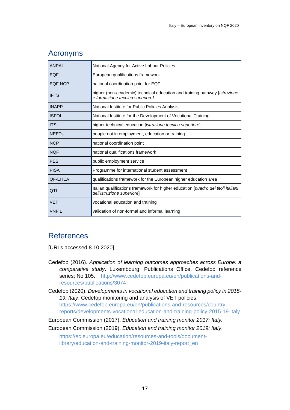| <b>ANPAL</b> | National Agency for Active Labour Policies                                                                      |
|--------------|-----------------------------------------------------------------------------------------------------------------|
| <b>EQF</b>   | European qualifications framework                                                                               |
| EQF NCP      | national coordination point for EQF                                                                             |
| <b>IFTS</b>  | higher (non-academic) technical education and training pathway [Istruzione<br>e formazione tecnica superiore]   |
| <b>INAPP</b> | National Institute for Public Policies Analysis                                                                 |
| <b>ISFOL</b> | National Institute for the Development of Vocational Training                                                   |
| <b>ITS</b>   | higher technical education [istruzione tecnica superiore]                                                       |
| <b>NEETs</b> | people not in employment, education or training                                                                 |
| <b>NCP</b>   | national coordination point                                                                                     |
| <b>NQF</b>   | national qualifications framework                                                                               |
| <b>PES</b>   | public employment service                                                                                       |
| <b>PISA</b>  | Programme for international student assessment                                                                  |
| QF-EHEA      | qualifications framework for the European higher education area                                                 |
| <b>QTI</b>   | Italian qualifications framework for higher education [quadro dei titoli italiani<br>dell'istruzione superiore] |
| <b>VET</b>   | vocational education and training                                                                               |
| <b>VNFIL</b> | validation of non-formal and informal learning                                                                  |

#### <span id="page-18-0"></span>Acronyms

#### <span id="page-18-1"></span>**References**

[URLs accessed 8.10.2020]

- Cedefop (2016). *Application of learning outcomes approaches across Europe: a comparative study*. Luxembourg: Publications Office. Cedefop reference series; No 105. [http://www.cedefop.europa.eu/en/publications-and](http://www.cedefop.europa.eu/en/publications-and-resources/publications/3074)[resources/publications/3074](http://www.cedefop.europa.eu/en/publications-and-resources/publications/3074)
- Cedefop (2020). *Developments in vocational education and training policy in 2015- 19: Italy*. Cedefop monitoring and analysis of VET policies. [https://www.cedefop.europa.eu/en/publications-and-resources/country](https://www.cedefop.europa.eu/en/publications-and-resources/country-reports/developments-vocational-education-and-training-policy-2015-19-italy)[reports/developments-vocational-education-and-training-policy-2015-19-italy](https://www.cedefop.europa.eu/en/publications-and-resources/country-reports/developments-vocational-education-and-training-policy-2015-19-italy)
- European Commission (2017). *Education and training monitor 2017: Italy.*
- European Commission (2019). *Education and training monitor 2019: Italy*.

[https://ec.europa.eu/education/resources-and-tools/document](https://ec.europa.eu/education/resources-and-tools/document-library/education-and-training-monitor-2019-italy-report_en)[library/education-and-training-monitor-2019-italy-report\\_en](https://ec.europa.eu/education/resources-and-tools/document-library/education-and-training-monitor-2019-italy-report_en)